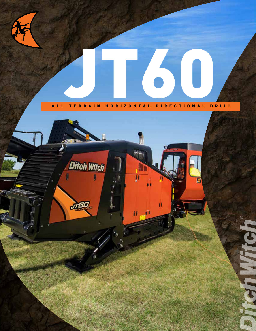

## ALL TERRAIN HORIZONTAL DIRECTIONAL DRILL JT60

**Ditch Witch** A JTED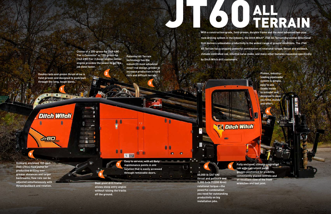**60,000 lb (267 kN) thrust and pullback and 9,000 ft•lb (12200 N•m) rotational torque—the powerful combination you need for outstanding productivity on big installation jobs.**

**Dual-pivot drill frame allows steep entry angles without raising the tracks** 

 $-8$ 

ſ

下三

**off the ground.**

**Proven, industryleading pipeloader system is simple, easy to use (loads inside to outside) and designed to save you time, money and effort.**

**Easy to service, with all daily m**aintenance points in one **1996 location that is easily accessed through removable doors.**

**Onboard, enclosed 150-gpm (560-l/min) fluid pump for productive drilling over greater distances and larger backreams; flow rate can be adjusted simultaneously with thrust/pullback and rotation.**

**Patented All Terrain technology has the industry's most advanced inner-rod design, proven to increase production in hard rock and difficult terrain.**

# With a construction-grade, field-proven, durable frame and the r TERRAIN

**Choice of a 200-gross-hp (149-kW) Tier 4 Cummins® or 190-gross-hp (142-kW) Tier 3 diesel engine; either engine provides the power to get the job done faster.**

**With a construction-grade, field-proven, durable frame and the most advanced two-pipe rock-drilling system in the industry, the Ditch Witch® JT60 All Terrain Horizontal Directional Drill delivers unbeatable productivity in the widest range of ground conditions. The JT60 All Terrain has a uniquely powerful combination of rotational torque, thrust and pullback, climate-controlled cab, intuitive carve mode, and many other features requested specifically** 

**by Ditch Witch drill customers.** 

**Ditch Witch** 

**Double rack-and-pinion thrust drive is field-proven and designed to push/pull through the long, tough bores.** 

> **Fully enclosed, climate-controlled cab with instrument panel gauges positioned for visibility, conveniently placed controls and an excellent view of the front wrenches and tool joint.**

1

2

3

IJ

 $\bullet$ 

 $\bullet$ 

4

**Ditch Witch** 

 $-1.1.$ 

**JT60** 

**Robo** 

8

۰ı

9